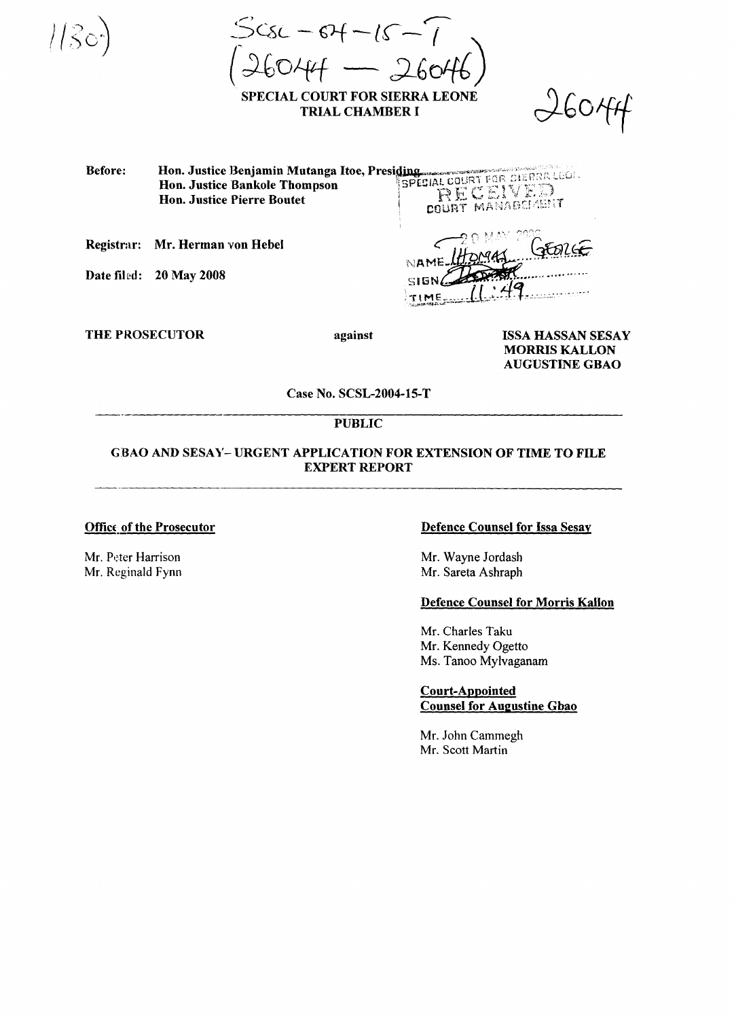$556 - 67 - 15$ SPECIAL COURT FOR SIERRA LEONE

**TRIAL CHAMBER I** 

 $16044$ 

Hon. Justice Benjamin Mutanga Itoe, Presiding<br>The Linds Rankole Thompson SPECIAL COURT FOR BIERRA LOCAL Before: RECEIVED **Hon. Justice Pierre Boutet COURT MANAGEMENT** 

Registrar: Mr. Herman von Hebel

Date filed: 20 May 2008

 $\wedge$  A أخفقهم خرور ويوري

**THE PROSECUTOR** 

against

**ISSA HASSAN SESAY MORRIS KALLON AUGUSTINE GBAO** 

### Case No. SCSL-2004-15-T

## **PUBLIC**

# **GBAO AND SESAY- URGENT APPLICATION FOR EXTENSION OF TIME TO FILE EXPERT REPORT**

#### **Office of the Prosecutor**

Mr. Peter Harrison Mr. Reginald Fynn

### **Defence Counsel for Issa Sesay**

Mr. Wayne Jordash Mr. Sareta Ashraph

### **Defence Counsel for Morris Kallon**

Mr. Charles Taku Mr. Kennedy Ogetto Ms. Tanoo Mylvaganam

**Court-Appointed Counsel for Augustine Gbao** 

Mr. John Cammegh Mr. Scott Martin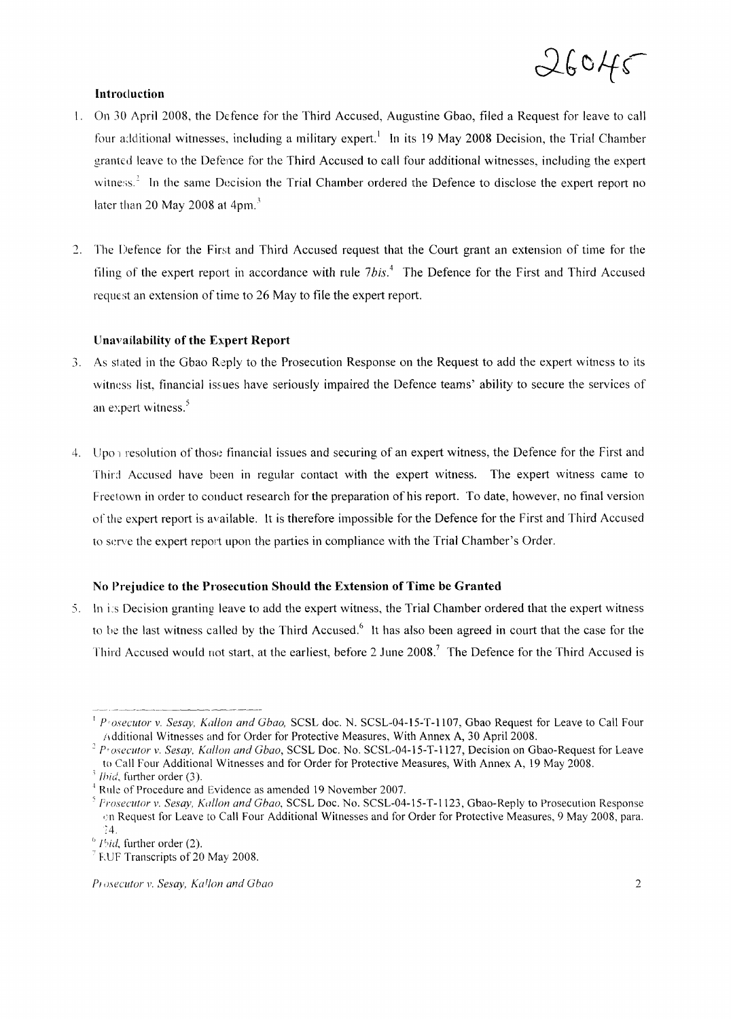

## Introduction

- I. On 30 April 2008, the Defence for the Third Accused, Augustine Gbao, filed a Request for leave to call four a:ditional witnesses, including a military expert.<sup>1</sup> In its 19 May 2008 Decision, the Trial Chamber granted leave to the Defence for the Third Accused to call four additional witnesses, including the expert witness.<sup>2</sup> In the same Decision the Trial Chamber ordered the Defence to disclose the expert report no later than 20 May 2008 at  $4$ pm.<sup>3</sup>
- 2. The Defence for the First and Third Accused request that the Court grant an extension of time for the filing of the expert report in accordance with rule  $7bis$ .<sup>4</sup> The Defence for the First and Third Accused request an extension of time to 26 May to file the expert report.

# Unavailability of the Expert Report

- 3. As stated in the Gbao Reply to the Prosecution Response on the Request to add the expert witness to its witness list, financial issues have seriously impaired the Defence teams' ability to secure the services of an expert witness. $<sup>5</sup>$ </sup>
- 4. Upon resolution of those financial issues and securing of an expert witness, the Defence for the First and Third Accused have been in regular contact with the expert witness. The expert witness came to Freetown in order to conduct research for the preparation of his report. To date, however, no final version of the expert report is available. It is therefore impossible for the Defence for the First and Third Accused to serve the expert report upon the parties in compliance with the Trial Chamber's Order.

## No Prejudice to the Prosecution Should the Extension of Time be Granted

.5. In i:s Decision granting leave to add the expert witness, the Trial Chamber ordered that the expert witness to be the last witness called by the Third Accused.<sup>6</sup> It has also been agreed in court that the case for the Third Accused would not start, at the earliest, before 2 June 2008.<sup>7</sup> The Defence for the Third Accused is

<sup>I</sup> *P'osecutor* v. *Sesay, Kallon and Gbao,* SCSL doc. N. SCSL-04-15-T-II07, Gbao Request for Leave to Call Four Additional Witnesses and for Order for Protective Measures, With Annex A, 30 April 2008.

*<sup>2</sup> P'osecutor* v. *Sesay, Kallon and Gbao,* SCSL Doc. No. SCSL-04-15-T-1127, Decision on Gbao-Request for Leave to Call Four Additional Witnesses and for Order for Protective Measures, With Annex A, 19 May 2008.

<sup>&</sup>lt;sup>3</sup> *Ihid*, further order (3).

<sup>&</sup>lt;sup>4</sup> Rule of Procedure and Evidence as amended 19 November 2007.

*<sup>,</sup> Prosecutor* v. *Sesay, Kallon and Gbao,* SCSL Doc. No. SCSL-04-15-T-ll23, Gbao-Reply to Prosecution Response ,:n Request for Leave to Call Four Additional Witnesses and for Order for Protective Measures, 9 May 2008, para. ~4.

<sup>&</sup>lt;sup>6</sup> *Ibid*, further order (2).

<sup>&</sup>lt;sup>7</sup> F.UF Transcripts of 20 May 2008.

*P/li,\ecutor* v. *Sesay, Ka!fon and Gbao* 2